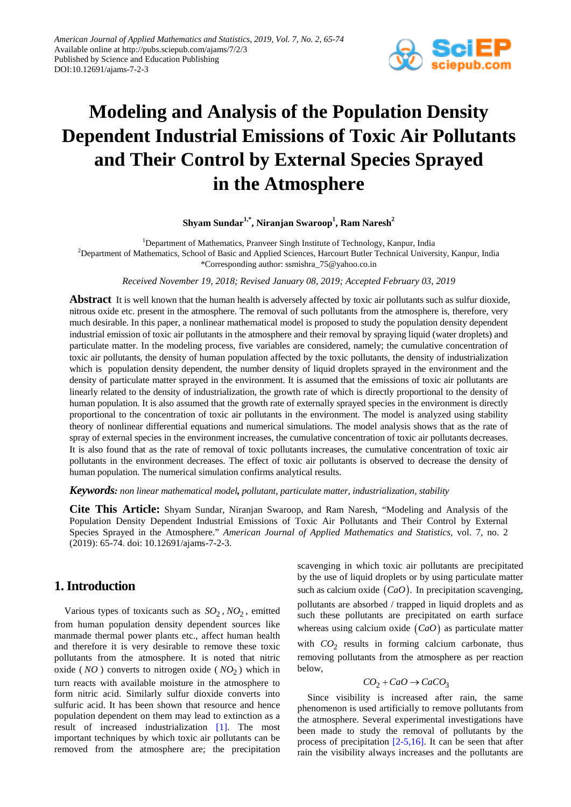

# **Modeling and Analysis of the Population Density Dependent Industrial Emissions of Toxic Air Pollutants and Their Control by External Species Sprayed in the Atmosphere**

## $\boldsymbol{\mathrm{Shyam\,Sundar}^{1,*}, \boldsymbol{\mathrm{Niranjan\,Swaroop}^{1}, \boldsymbol{\mathrm{Ram\,Naresh}^{2}}}$

<sup>1</sup>Department of Mathematics, Pranveer Singh Institute of Technology, Kanpur, India <sup>2</sup>Department of Mathematics, School of Basic and Applied Sciences, Harcourt Butler Technical University, Kanpur, India \*Corresponding author: ssmishra\_75@yahoo.co.in

*Received November 19, 2018; Revised January 08, 2019; Accepted February 03, 2019*

**Abstract** It is well known that the human health is adversely affected by toxic air pollutants such as sulfur dioxide, nitrous oxide etc. present in the atmosphere. The removal of such pollutants from the atmosphere is, therefore, very much desirable. In this paper, a nonlinear mathematical model is proposed to study the population density dependent industrial emission of toxic air pollutants in the atmosphere and their removal by spraying liquid (water droplets) and particulate matter. In the modeling process, five variables are considered, namely; the cumulative concentration of toxic air pollutants, the density of human population affected by the toxic pollutants, the density of industrialization which is population density dependent, the number density of liquid droplets sprayed in the environment and the density of particulate matter sprayed in the environment. It is assumed that the emissions of toxic air pollutants are linearly related to the density of industrialization, the growth rate of which is directly proportional to the density of human population. It is also assumed that the growth rate of externally sprayed species in the environment is directly proportional to the concentration of toxic air pollutants in the environment. The model is analyzed using stability theory of nonlinear differential equations and numerical simulations. The model analysis shows that as the rate of spray of external species in the environment increases, the cumulative concentration of toxic air pollutants decreases. It is also found that as the rate of removal of toxic pollutants increases, the cumulative concentration of toxic air pollutants in the environment decreases. The effect of toxic air pollutants is observed to decrease the density of human population. The numerical simulation confirms analytical results.

*Keywords: non linear mathematical model, pollutant, particulate matter, industrialization, stability*

**Cite This Article:** Shyam Sundar, Niranjan Swaroop, and Ram Naresh, "Modeling and Analysis of the Population Density Dependent Industrial Emissions of Toxic Air Pollutants and Their Control by External Species Sprayed in the Atmosphere." *American Journal of Applied Mathematics and Statistics*, vol. 7, no. 2 (2019): 65-74. doi: 10.12691/ajams-7-2-3.

# **1. Introduction**

Various types of toxicants such as  $SO_2$ ,  $NO_2$ , emitted from human population density dependent sources like manmade thermal power plants etc., affect human health and therefore it is very desirable to remove these toxic pollutants from the atmosphere. It is noted that nitric oxide ( $NO$ ) converts to nitrogen oxide ( $NO<sub>2</sub>$ ) which in turn reacts with available moisture in the atmosphere to form nitric acid. Similarly sulfur dioxide converts into sulfuric acid. It has been shown that resource and hence population dependent on them may lead to extinction as a result of increased industrialization [\[1\].](#page-7-0) The most important techniques by which toxic air pollutants can be removed from the atmosphere are; the precipitation

scavenging in which toxic air pollutants are precipitated by the use of liquid droplets or by using particulate matter such as calcium oxide (*CaO*). In precipitation scavenging, pollutants are absorbed / trapped in liquid droplets and as such these pollutants are precipitated on earth surface whereas using calcium oxide (*CaO*) as particulate matter with  $CO<sub>2</sub>$  results in forming calcium carbonate, thus removing pollutants from the atmosphere as per reaction below,

$$
CO_2 + CaO \rightarrow CaCO_3
$$

Since visibility is increased after rain, the same phenomenon is used artificially to remove pollutants from the atmosphere. Several experimental investigations have been made to study the removal of pollutants by the process of precipitation  $[2-5,16]$ . It can be seen that after rain the visibility always increases and the pollutants are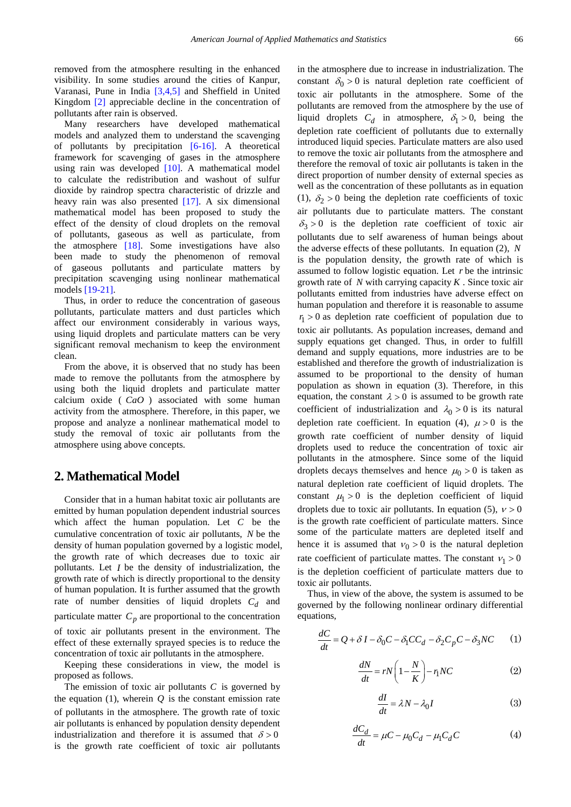removed from the atmosphere resulting in the enhanced visibility. In some studies around the cities of Kanpur, Varanasi, Pune in India [\[3,4,5\]](#page-7-2) and Sheffield in United Kingdom [\[2\]](#page-7-1) appreciable decline in the concentration of pollutants after rain is observed.

Many researchers have developed mathematical models and analyzed them to understand the scavenging of pollutants by precipitation  $[6-16]$ . A theoretical framework for scavenging of gases in the atmosphere using rain was developed [\[10\].](#page-7-4) A mathematical model to calculate the redistribution and washout of sulfur dioxide by raindrop spectra characteristic of drizzle and heavy rain was also presented [\[17\].](#page-7-5) A six dimensional mathematical model has been proposed to study the effect of the density of cloud droplets on the removal of pollutants, gaseous as well as particulate, from the atmosphere [\[18\].](#page-7-6) Some investigations have also been made to study the phenomenon of removal of gaseous pollutants and particulate matters by precipitation scavenging using nonlinear mathematical models [\[19-21\].](#page-7-7)

Thus, in order to reduce the concentration of gaseous pollutants, particulate matters and dust particles which affect our environment considerably in various ways, using liquid droplets and particulate matters can be very significant removal mechanism to keep the environment clean.

From the above, it is observed that no study has been made to remove the pollutants from the atmosphere by using both the liquid droplets and particulate matter calcium oxide ( *CaO* ) associated with some human activity from the atmosphere. Therefore, in this paper, we propose and analyze a nonlinear mathematical model to study the removal of toxic air pollutants from the atmosphere using above concepts.

# **2. Mathematical Model**

Consider that in a human habitat toxic air pollutants are emitted by human population dependent industrial sources which affect the human population. Let *C* be the cumulative concentration of toxic air pollutants, *N* be the density of human population governed by a logistic model, the growth rate of which decreases due to toxic air pollutants. Let *I* be the density of industrialization, the growth rate of which is directly proportional to the density of human population. It is further assumed that the growth rate of number densities of liquid droplets  $C_d$  and particulate matter  $C_p$  are proportional to the concentration of toxic air pollutants present in the environment. The effect of these externally sprayed species is to reduce the concentration of toxic air pollutants in the atmosphere.

Keeping these considerations in view, the model is proposed as follows.

The emission of toxic air pollutants *C* is governed by the equation  $(1)$ , wherein  $\hat{O}$  is the constant emission rate of pollutants in the atmosphere. The growth rate of toxic air pollutants is enhanced by population density dependent industrialization and therefore it is assumed that  $\delta > 0$ is the growth rate coefficient of toxic air pollutants

in the atmosphere due to increase in industrialization. The constant  $\delta_0 > 0$  is natural depletion rate coefficient of toxic air pollutants in the atmosphere. Some of the pollutants are removed from the atmosphere by the use of liquid droplets  $C_d$  in atmosphere,  $\delta_1 > 0$ , being the depletion rate coefficient of pollutants due to externally introduced liquid species. Particulate matters are also used to remove the toxic air pollutants from the atmosphere and therefore the removal of toxic air pollutants is taken in the direct proportion of number density of external species as well as the concentration of these pollutants as in equation (1),  $\delta_2 > 0$  being the depletion rate coefficients of toxic air pollutants due to particulate matters. The constant  $\delta_3 > 0$  is the depletion rate coefficient of toxic air pollutants due to self awareness of human beings about the adverse effects of these pollutants. In equation (2), *N* is the population density, the growth rate of which is assumed to follow logistic equation. Let *r* be the intrinsic growth rate of *N* with carrying capacity *K* . Since toxic air pollutants emitted from industries have adverse effect on human population and therefore it is reasonable to assume  $r_1 > 0$  as depletion rate coefficient of population due to toxic air pollutants. As population increases, demand and supply equations get changed. Thus, in order to fulfill demand and supply equations, more industries are to be established and therefore the growth of industrialization is assumed to be proportional to the density of human population as shown in equation (3). Therefore, in this equation, the constant  $\lambda > 0$  is assumed to be growth rate coefficient of industrialization and  $\lambda_0 > 0$  is its natural depletion rate coefficient. In equation (4),  $\mu > 0$  is the growth rate coefficient of number density of liquid droplets used to reduce the concentration of toxic air pollutants in the atmosphere. Since some of the liquid droplets decays themselves and hence  $\mu_0 > 0$  is taken as natural depletion rate coefficient of liquid droplets. The constant  $\mu_1 > 0$  is the depletion coefficient of liquid droplets due to toxic air pollutants. In equation (5),  $v > 0$ is the growth rate coefficient of particulate matters. Since some of the particulate matters are depleted itself and hence it is assumed that  $v_0 > 0$  is the natural depletion rate coefficient of particulate mattes. The constant  $v_1 > 0$ is the depletion coefficient of particulate matters due to toxic air pollutants.

Thus, in view of the above, the system is assumed to be governed by the following nonlinear ordinary differential equations,

$$
\frac{dC}{dt} = Q + \delta I - \delta_0 C - \delta_1 C C_d - \delta_2 C_p C - \delta_3 N C \tag{1}
$$

$$
\frac{dN}{dt} = rN\left(1 - \frac{N}{K}\right) - r_1NC\tag{2}
$$

$$
\frac{dI}{dt} = \lambda N - \lambda_0 I \tag{3}
$$

$$
\frac{dC_d}{dt} = \mu C - \mu_0 C_d - \mu_1 C_d C \tag{4}
$$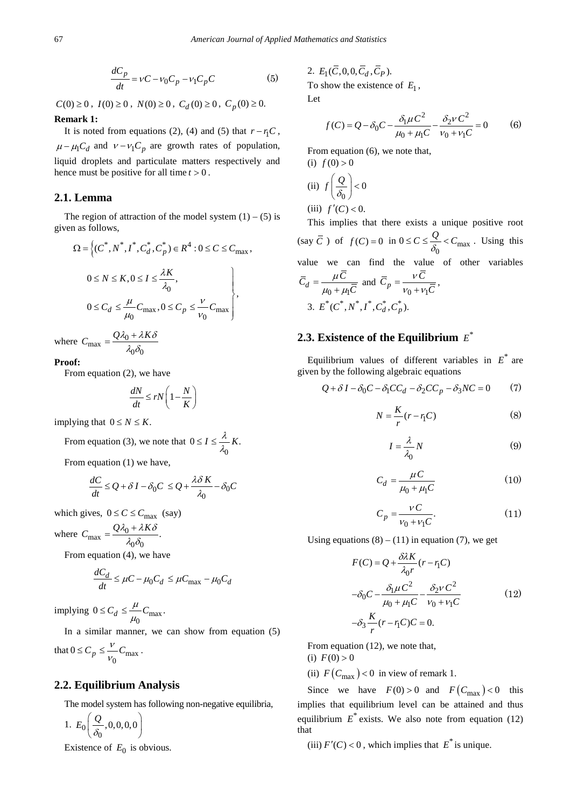$$
\frac{dC_p}{dt} = vC - v_0C_p - v_1C_pC
$$
 (5)

 $C(0) \geq 0$ ,  $I(0) \geq 0$ ,  $N(0) \geq 0$ ,  $C_d(0) \geq 0$ ,  $C_p(0) \geq 0$ .

#### **Remark 1:**

It is noted from equations (2), (4) and (5) that  $r - r_1C$ ,  $\mu - \mu_1 C_d$  and  $v - v_1 C_p$  are growth rates of population, liquid droplets and particulate matters respectively and hence must be positive for all time  $t > 0$ .

## **2.1. Lemma**

The region of attraction of the model system  $(1) - (5)$  is given as follows,

$$
\Omega = \left\{ (C^*, N^*, I^*, C_d^*, C_p^*) \in R^4 : 0 \le C \le C_{\text{max}}, \right\}
$$
  

$$
0 \le N \le K, 0 \le I \le \frac{\lambda K}{\lambda_0},
$$
  

$$
0 \le C_d \le \frac{\mu}{\mu_0} C_{\text{max}}, 0 \le C_p \le \frac{\nu}{\nu_0} C_{\text{max}} \right\},\
$$

where  $C_{\text{max}} = \frac{Q\lambda_0 + \lambda K\delta}{\lambda_0 \delta_0}$ 

#### **Proof:**

From equation (2), we have

$$
\frac{dN}{dt} \leq rN\left(1 - \frac{N}{K}\right)
$$

implying that  $0 \leq N \leq K$ .

From equation (3), we note that 
$$
0 \le I \le \frac{\lambda}{\lambda_0} K
$$
.

From equation (1) we have,

$$
\frac{dC}{dt} \le Q + \delta I - \delta_0 C \le Q + \frac{\lambda \delta K}{\lambda_0} - \delta_0 C
$$

which gives,  $0 \leq C \leq C_{\text{max}}$  (say)

where  $C_{\text{max}} = \frac{Q\lambda_0 + \lambda K\delta}{\lambda_0 \delta_0}$ .

From equation (4), we have

$$
\frac{dC_d}{dt} \le \mu - \mu_0 C_d \le \mu C_{\text{max}} - \mu_0 C_d
$$

implying  $0 \le C_d \le \frac{\mu}{\mu_0} C_{\text{max}}$ .  $\mu_{\scriptscriptstyle (}$  $\leq C_d \leq$ 

In a similar manner, we can show from equation (5) that  $0 \le C_p \le \frac{V}{V_0}C_{\text{max}}$  $\leq C_p \leq \frac{V}{V_0} C_{\text{max}}$ .

# **2.2. Equilibrium Analysis**

The model system has following non-negative equilibria,

$$
1. E_0\left(\frac{Q}{\delta_0},0,0,0,0\right)
$$

Existence of  $E_0$  is obvious.

2. 
$$
E_1(\overline{C}, 0, 0, \overline{C}_d, \overline{C}_P)
$$
.  
To show the existence of  $E_1$ ,

Let

$$
f(C) = Q - \delta_0 C - \frac{\delta_1 \mu C^2}{\mu_0 + \mu_1 C} - \frac{\delta_2 v C^2}{v_0 + v_1 C} = 0
$$
 (6)

From equation (6), we note that, (i)  $f(0) > 0$ 

(ii) 
$$
f\left(\frac{Q}{\delta_0}\right) < 0
$$
  
(iii)  $f'(C) < 0$ .  
This implies the

This implies that there exists a unique positive root (say  $\overline{C}$ ) of  $f(C) = 0$  in  $0 \le C \le \frac{Q}{\delta_0} < C_{\text{max}}$ . Using this value we can find the value of other variables  $\overline{C}_d = \frac{\mu C}{\mu_0 + \mu_1 \overline{C}}$  $=\frac{\mu C}{\mu_0 + \mu_1 \overline{C}}$  and  $\overline{C}_p = \frac{vC}{v_0 + v_1 \overline{C}}$  $=\frac{VC}{v_0+v_1\overline{C}},$ 3.  $E^*(C^*, N^*, I^*, C_d^*, C_p^*).$ 

# **2.3. Existence of the Equilibrium**  $E^*$

Equilibrium values of different variables in  $E^*$  are given by the following algebraic equations

$$
Q + \delta I - \delta_0 C - \delta_1 C C_d - \delta_2 C C_p - \delta_3 N C = 0 \tag{7}
$$

$$
N = \frac{K}{r}(r - r_1C) \tag{8}
$$

$$
I = \frac{\lambda}{\lambda_0} N \tag{9}
$$

$$
C_d = \frac{\mu C}{\mu_0 + \mu_1 C} \tag{10}
$$

$$
C_p = \frac{VC}{v_0 + v_1 C}.\tag{11}
$$

Using equations  $(8) - (11)$  in equation (7), we get

$$
F(C) = Q + \frac{\partial \lambda K}{\lambda_0 r} (r - r_1 C)
$$
  

$$
-\delta_0 C - \frac{\delta_1 \mu C^2}{\mu_0 + \mu_1 C} - \frac{\delta_2 \nu C^2}{\nu_0 + \nu_1 C}
$$
  

$$
-\delta_3 \frac{K}{r} (r - r_1 C) C = 0.
$$
 (12)

From equation (12), we note that, (i)  $F(0) > 0$ 

(ii)  $F(C_{\text{max}})$  < 0 in view of remark 1.

Since we have  $F(0) > 0$  and  $F(C_{\text{max}}) < 0$  this implies that equilibrium level can be attained and thus equilibrium  $E^*$  exists. We also note from equation (12) that

(iii)  $F'(C) < 0$ , which implies that  $E^*$  is unique.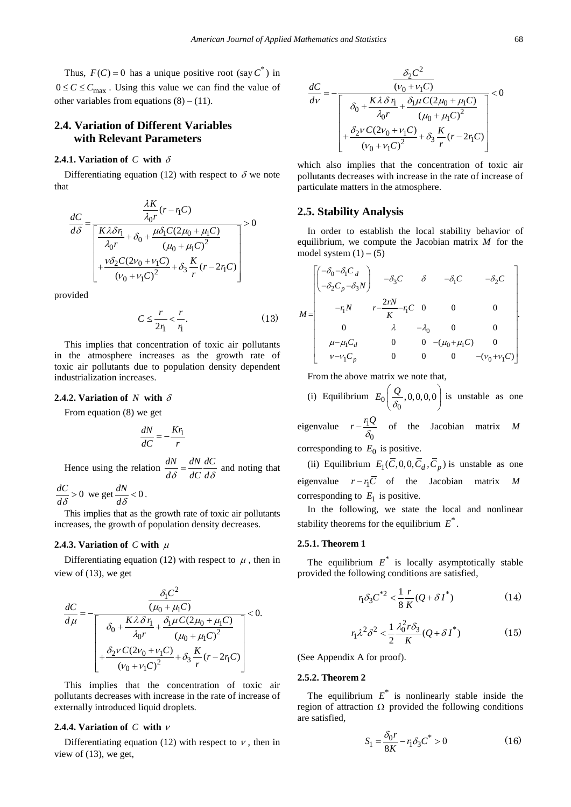Thus,  $F(C) = 0$  has a unique positive root (say  $C^*$ ) in  $0 \leq C \leq C_{\text{max}}$ . Using this value we can find the value of other variables from equations  $(8) - (11)$ .

## **2.4. Variation of Different Variables with Relevant Parameters**

## **2.4.1. Variation of** *C* **with** δ

Differentiating equation (12) with respect to  $\delta$  we note that

λ

$$
\frac{dC}{d\delta} = \frac{\frac{\lambda K}{\lambda_0 r}(r - r_1 C)}{\left[\frac{K\lambda \delta r_1}{\lambda_0 r} + \delta_0 + \frac{\mu \delta_1 C (2\mu_0 + \mu_1 C)}{(\mu_0 + \mu_1 C)^2}\right]} > 0
$$

$$
+\frac{\nu \delta_2 C (2\nu_0 + \nu_1 C)}{(\nu_0 + \nu_1 C)^2} + \delta_3 \frac{K}{r}(r - 2r_1 C)
$$

provided

$$
C \le \frac{r}{2r_1} < \frac{r}{r_1}.\tag{13}
$$

This implies that concentration of toxic air pollutants in the atmosphere increases as the growth rate of toxic air pollutants due to population density dependent industrialization increases.

#### **2.4.2. Variation of**  $N$  with  $\delta$

From equation (8) we get

$$
\frac{dN}{dC} = -\frac{Kr_1}{r}
$$

Hence using the relation  $\frac{dN}{d\delta} = \frac{dN}{dC} \frac{dC}{d\delta}$  and noting that

$$
\frac{dC}{d\delta} > 0
$$
 we get 
$$
\frac{dN}{d\delta} < 0.
$$

This implies that as the growth rate of toxic air pollutants increases, the growth of population density decreases.

#### **2.4.3. Variation of** *C* with  $\mu$

Differentiating equation (12) with respect to  $\mu$ , then in view of (13), we get

$$
\frac{dC}{d\mu} = -\frac{\frac{\delta_{\rm I}C^2}{(\mu_0 + \mu_{\rm I}C)}}{\left[\frac{\delta_0 + \frac{K\lambda \delta r_{\rm I}}{\lambda_0 r} + \frac{\delta_{\rm I}\mu C(2\mu_0 + \mu_{\rm I}C)}{(\mu_0 + \mu_{\rm I}C)^2}\right]} < 0.
$$
\n
$$
+\frac{\delta_{2} \nu C(2\nu_0 + \nu_{\rm I}C)}{(\nu_0 + \nu_{\rm I}C)^2} + \delta_3 \frac{K}{r}(r - 2r_{\rm I}C)
$$

This implies that the concentration of toxic air pollutants decreases with increase in the rate of increase of externally introduced liquid droplets.

#### **2.4.4. Variation of** *C* **with** <sup>ν</sup>

Differentiating equation (12) with respect to  $\nu$ , then in view of (13), we get,

$$
\frac{dC}{dv} = -\frac{\frac{\delta_2 C^2}{(\nu_0 + \nu_1 C)}}{\left[\frac{\delta_0 + \frac{K\lambda \delta r_1}{\lambda_0 r} + \frac{\delta_1 \mu C (2\mu_0 + \mu_1 C)}{(\mu_0 + \mu_1 C)^2} + \frac{\delta_2 \nu C (2\nu_0 + \nu_1 C)}{(\nu_0 + \nu_1 C)^2} + \delta_3 \frac{K}{r} (r - 2r_1 C)\right]}} < 0
$$

which also implies that the concentration of toxic air pollutants decreases with increase in the rate of increase of particulate matters in the atmosphere.

#### **2.5. Stability Analysis**

In order to establish the local stability behavior of equilibrium, we compute the Jacobian matrix *M* for the model system  $(1) - (5)$ 

$$
M = \begin{bmatrix} \begin{pmatrix} -\delta_0 - \delta_1 C_d \\ -\delta_2 C_p - \delta_3 N \end{pmatrix} & -\delta_3 C & \delta & -\delta_1 C & -\delta_2 C \\ & -r_1 N & r - \frac{2rN}{K} - r_1 C & 0 & 0 & 0 \\ & 0 & \lambda & -\lambda_0 & 0 & 0 \\ & \mu - \mu_1 C_d & 0 & 0 & -(\mu_0 + \mu_1 C) & 0 \\ & & \nu - \nu_1 C_p & 0 & 0 & 0 & -(\nu_0 + \nu_1 C) \end{pmatrix}.
$$

From the above matrix we note that,

(i) Equilibrium 
$$
E_0\left(\frac{Q}{\delta_0}, 0, 0, 0, 0\right)
$$
 is unstable as one

eigenvalue  $r - \frac{r_1}{r_2}$  $r - \frac{r_1 Q}{\delta_0}$  of the Jacobian matrix *M* corresponding to  $E_0$  is positive.

(ii) Equilibrium  $E_1(\overline{C}, 0, 0, \overline{C}_d, \overline{C}_p)$  is unstable as one eigenvalue  $r - r_1\overline{C}$  of the Jacobian matrix *M* corresponding to  $E_1$  is positive.

In the following, we state the local and nonlinear stability theorems for the equilibrium  $E^*$ .

#### **2.5.1. Theorem 1**

The equilibrium  $E^*$  is locally asymptotically stable provided the following conditions are satisfied,

$$
r_1 \delta_3 C^{*2} < \frac{1}{8} \frac{r}{K} (Q + \delta I^*) \tag{14}
$$

$$
r_1 \lambda^2 \delta^2 < \frac{1}{2} \frac{\lambda_0^2 r \delta_3}{K} (Q + \delta I^*) \tag{15}
$$

(See Appendix A for proof).

#### **2.5.2. Theorem 2**

The equilibrium  $E^*$  is nonlinearly stable inside the region of attraction  $Ω$  provided the following conditions are satisfied,

$$
S_1 = \frac{\delta_0 r}{8K} - r_1 \delta_3 C^* > 0
$$
 (16)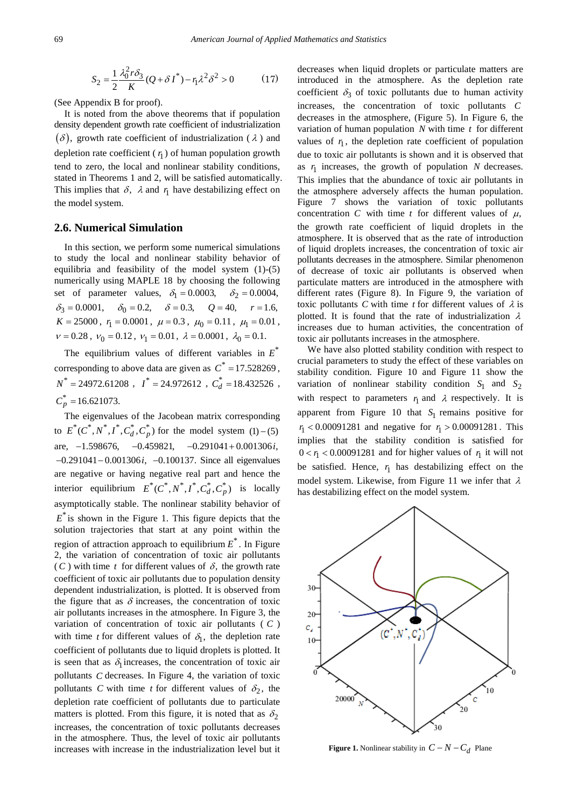$$
S_2 = \frac{1}{2} \frac{\lambda_0^2 r \delta_3}{K} (Q + \delta I^*) - r_1 \lambda^2 \delta^2 > 0
$$
 (17)

(See Appendix B for proof).

It is noted from the above theorems that if population density dependent growth rate coefficient of industrialization  $(\delta)$ , growth rate coefficient of industrialization ( $\lambda$ ) and depletion rate coefficient  $(r<sub>1</sub>)$  of human population growth tend to zero, the local and nonlinear stability conditions, stated in Theorems 1 and 2, will be satisfied automatically. This implies that  $\delta$ ,  $\lambda$  and  $r_1$  have destabilizing effect on the model system.

#### **2.6. Numerical Simulation**

In this section, we perform some numerical simulations to study the local and nonlinear stability behavior of equilibria and feasibility of the model system (1)-(5) numerically using MAPLE 18 by choosing the following set of parameter values,  $\delta_1 = 0.0003$ ,  $\delta_2 = 0.0004$ ,  $\delta_3 = 0.0001, \quad \delta_0 = 0.2, \quad \delta = 0.3, \quad Q = 40, \quad r = 1.6,$  $K = 25000, r_1 = 0.0001, \mu = 0.3, \mu_0 = 0.11, \mu_1 = 0.01,$  $v = 0.28$ ,  $v_0 = 0.12$ ,  $v_1 = 0.01$ ,  $\lambda = 0.0001$ ,  $\lambda_0 = 0.1$ .

The equilibrium values of different variables in  $E^*$ corresponding to above data are given as  $C^* = 17.528269$ ,  $N^* = 24972.61208$ ,  $I^* = 24.972612$ ,  $C_d^* = 18.432526$ ,  $C_p^* = 16.621073.$ 

The eigenvalues of the Jacobean matrix corresponding to  $E^*(C^*, N^*, I^*, C_d^*, C_p^*)$  for the model system (1) – (5) are,  $-1.598676$ ,  $-0.459821$ ,  $-0.291041 + 0.001306i$ , − − 0.291041 0.001306 ,*i* −0.100137. Since all eigenvalues are negative or having negative real part and hence the interior equilibrium  $E^*(C^*, N^*, I^*, C_d^*, C_p^*)$  is locally asymptotically stable. The nonlinear stability behavior of  $E^*$  is shown in the Figure 1. This figure depicts that the solution trajectories that start at any point within the region of attraction approach to equilibrium  $E^*$ . In Figure 2, the variation of concentration of toxic air pollutants  $(C)$  with time *t* for different values of  $\delta$ , the growth rate coefficient of toxic air pollutants due to population density dependent industrialization, is plotted. It is observed from the figure that as  $\delta$  increases, the concentration of toxic air pollutants increases in the atmosphere. In Figure 3, the variation of concentration of toxic air pollutants ( *C* ) with time *t* for different values of  $\delta_1$ , the depletion rate coefficient of pollutants due to liquid droplets is plotted. It is seen that as  $\delta_1$  increases, the concentration of toxic air pollutants *C* decreases. In Figure 4, the variation of toxic pollutants *C* with time *t* for different values of  $\delta_2$ , the depletion rate coefficient of pollutants due to particulate matters is plotted. From this figure, it is noted that as  $\delta_2$ increases, the concentration of toxic pollutants decreases in the atmosphere. Thus, the level of toxic air pollutants increases with increase in the industrialization level but it decreases when liquid droplets or particulate matters are introduced in the atmosphere. As the depletion rate coefficient  $\delta_3$  of toxic pollutants due to human activity increases, the concentration of toxic pollutants *C* decreases in the atmosphere, (Figure 5). In Figure 6, the variation of human population *N* with time *t* for different values of  $r<sub>1</sub>$ , the depletion rate coefficient of population due to toxic air pollutants is shown and it is observed that as  $r_1$  increases, the growth of population  $N$  decreases. This implies that the abundance of toxic air pollutants in the atmosphere adversely affects the human population. Figure 7 shows the variation of toxic pollutants concentration *C* with time *t* for different values of  $\mu$ , the growth rate coefficient of liquid droplets in the atmosphere. It is observed that as the rate of introduction of liquid droplets increases, the concentration of toxic air pollutants decreases in the atmosphere. Similar phenomenon of decrease of toxic air pollutants is observed when particulate matters are introduced in the atmosphere with different rates (Figure 8). In Figure 9, the variation of toxic pollutants *C* with time *t* for different values of  $\lambda$  is plotted. It is found that the rate of industrialization  $\lambda$ increases due to human activities, the concentration of toxic air pollutants increases in the atmosphere.

We have also plotted stability condition with respect to crucial parameters to study the effect of these variables on stability condition. Figure 10 and Figure 11 show the variation of nonlinear stability condition  $S_1$  and  $S_2$ with respect to parameters  $r_1$  and  $\lambda$  respectively. It is apparent from Figure 10 that  $S_1$  remains positive for  $r_1$  < 0.00091281 and negative for  $r_1 > 0.00091281$ . This implies that the stability condition is satisfied for  $0 < r<sub>1</sub> < 0.00091281$  and for higher values of  $r<sub>1</sub>$  it will not be satisfied. Hence,  $r<sub>1</sub>$  has destabilizing effect on the model system. Likewise, from Figure 11 we infer that  $\lambda$ has destabilizing effect on the model system.



**Figure 1.** Nonlinear stability in  $C - N - C_d$  Plane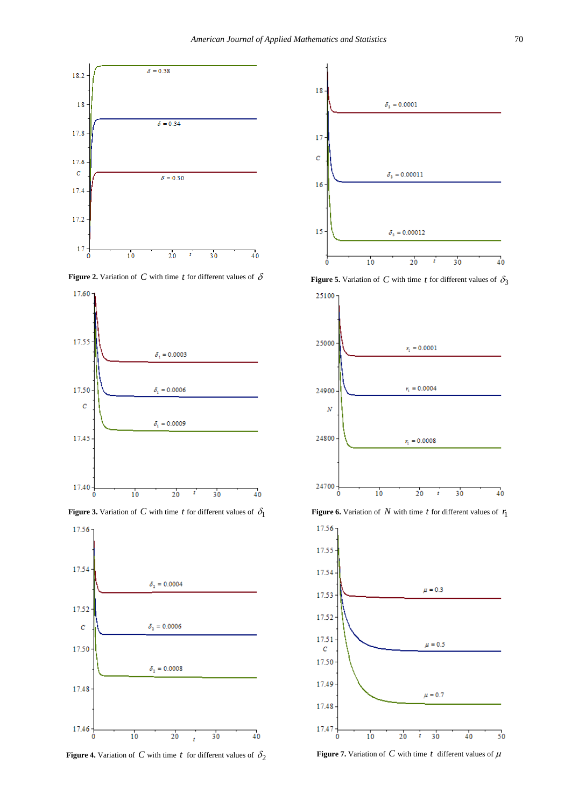

**Figure 2.** Variation of *C* with time *t* for different values of  $\delta$ 



**Figure 3.** Variation of *C* with time *t* for different values of  $\delta_1$ 



**Figure 4.** Variation of *C* with time *t* for different values of  $\delta_2$ 



**Figure 5.** Variation of *C* with time *t* for different values of  $\delta_3$ 



**Figure 6.** Variation of  $N$  with time  $t$  for different values of  $r_1$ 



**Figure 7.** Variation of *C* with time *t* different values of  $\mu$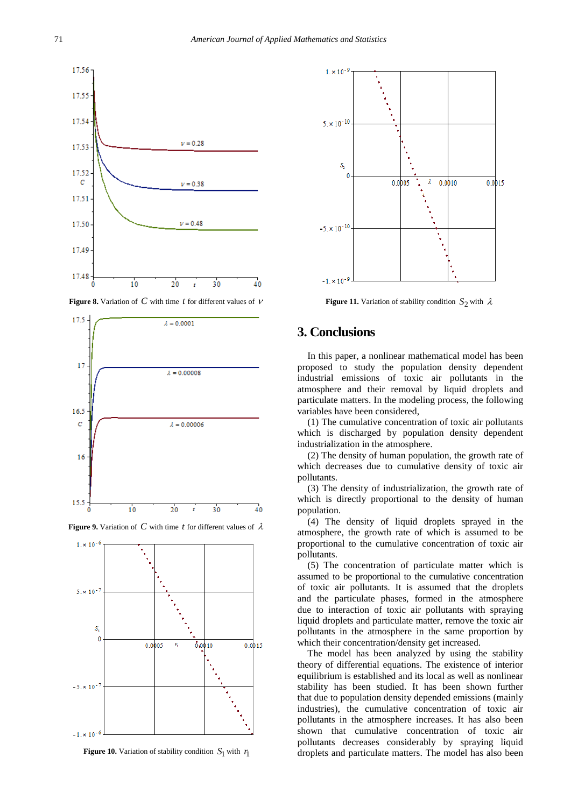

**Figure 8.** Variation of *C* with time *t* for different values of <sup>ν</sup>





**Figure 9.** Variation of *C* with time *t* for different values of  $\lambda$ 

**Figure 10.** Variation of stability condition  $S_1$  with  $r_1$ 



**Figure 11.** Variation of stability condition  $S_2$  with  $\lambda$ 

# **3. Conclusions**

In this paper, a nonlinear mathematical model has been proposed to study the population density dependent industrial emissions of toxic air pollutants in the atmosphere and their removal by liquid droplets and particulate matters. In the modeling process, the following variables have been considered,

(1) The cumulative concentration of toxic air pollutants which is discharged by population density dependent industrialization in the atmosphere.

(2) The density of human population, the growth rate of which decreases due to cumulative density of toxic air pollutants.

(3) The density of industrialization, the growth rate of which is directly proportional to the density of human population.

(4) The density of liquid droplets sprayed in the atmosphere, the growth rate of which is assumed to be proportional to the cumulative concentration of toxic air pollutants.

(5) The concentration of particulate matter which is assumed to be proportional to the cumulative concentration of toxic air pollutants. It is assumed that the droplets and the particulate phases, formed in the atmosphere due to interaction of toxic air pollutants with spraying liquid droplets and particulate matter, remove the toxic air pollutants in the atmosphere in the same proportion by which their concentration/density get increased.

The model has been analyzed by using the stability theory of differential equations. The existence of interior equilibrium is established and its local as well as nonlinear stability has been studied. It has been shown further that due to population density depended emissions (mainly industries), the cumulative concentration of toxic air pollutants in the atmosphere increases. It has also been shown that cumulative concentration of toxic air pollutants decreases considerably by spraying liquid droplets and particulate matters. The model has also been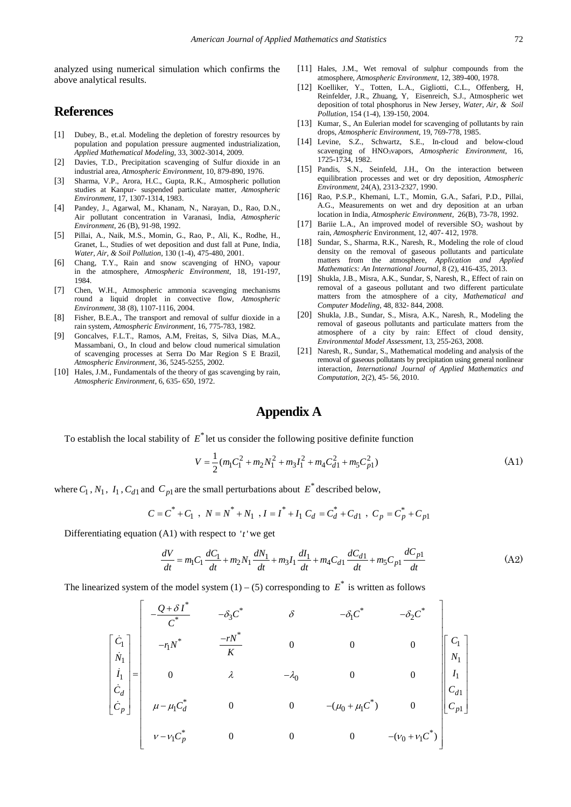analyzed using numerical simulation which confirms the above analytical results.

## **References**

- <span id="page-7-0"></span>[1] Dubey, B., et.al. Modeling the depletion of forestry resources by population and population pressure augmented industrialization, *Applied Mathematical Modeling*, 33, 3002-3014, 2009.
- <span id="page-7-1"></span>[2] Davies, T.D., Precipitation scavenging of Sulfur dioxide in an industrial area, *Atmospheric Environment*, 10, 879-890, 1976.
- <span id="page-7-2"></span>[3] Sharma, V.P., Arora, H.C., Gupta, R.K., Atmospheric pollution studies at Kanpur- suspended particulate matter, *Atmospheric Environment*, 17, 1307-1314, 1983.
- [4] Pandey, J., Agarwal, M., Khanam, N., Narayan, D., Rao, D.N., Air pollutant concentration in Varanasi, India, *Atmospheric Environment*, 26 (B), 91-98, 1992.
- [5] Pillai, A., Naik, M.S., Momin, G., Rao, P., Ali, K., Rodhe, H., Granet, L., Studies of wet deposition and dust fall at Pune, India, *Water, Air, & Soil Pollution*, 130 (1-4), 475-480, 2001.
- <span id="page-7-3"></span>Chang, T.Y., Rain and snow scavenging of HNO<sub>3</sub> vapour in the atmosphere, *Atmospheric Environment*, 18, 191-197, 1984.
- [7] Chen, W.H., Atmospheric ammonia scavenging mechanisms round a liquid droplet in convective flow, *Atmospheric Environment*, 38 (8), 1107-1116, 2004.
- [8] Fisher, B.E.A., The transport and removal of sulfur dioxide in a rain system, *Atmospheric Environment*, 16, 775-783, 1982.
- [9] Goncalves, F.L.T., Ramos, A.M, Freitas, S, Silva Dias, M.A., Massambani, O., In cloud and below cloud numerical simulation of scavenging processes at Serra Do Mar Region S E Brazil, *Atmospheric Environment*, 36, 5245-5255, 2002.
- <span id="page-7-4"></span>[10] Hales, J.M., Fundamentals of the theory of gas scavenging by rain, *Atmospheric Environment*, 6, 635- 650, 1972.
- [11] Hales, J.M., Wet removal of sulphur compounds from the atmosphere, *Atmospheric Environment*, 12, 389-400, 1978.
- [12] Koelliker, Y., Totten, L.A., Gigliotti, C.L., Offenberg, H, Reinfelder, J.R., Zhuang, Y, Eisenreich, S.J., Atmospheric wet deposition of total phosphorus in New Jersey, *Water, Air, & Soil Pollution*, 154 (1-4), 139-150, 2004.
- [13] Kumar, S., An Eulerian model for scavenging of pollutants by rain drops, *Atmospheric Environment*, 19, 769-778, 1985.
- [14] Levine, S.Z., Schwartz, S.E., In-cloud and below-cloud scavenging of HNO3vapors, *Atmospheric Environment*, 16, 1725-1734, 1982.
- [15] Pandis, S.N., Seinfeld, J.H., On the interaction between equilibration processes and wet or dry deposition, *Atmospheric Environment*, 24(A), 2313-2327, 1990.
- [16] Rao, P.S.P., Khemani, L.T., Momin, G.A., Safari, P.D., Pillai, A.G., Measurements on wet and dry deposition at an urban location in India, *Atmospheric Environment*, 26(B), 73-78, 1992.
- <span id="page-7-5"></span>[17] Bariie L.A., An improved model of reversible  $SO_2$  washout by rain, *Atmospheric* Environment, 12, 407- 412, 1978.
- <span id="page-7-6"></span>[18] Sundar, S., Sharma, R.K., Naresh, R., Modeling the role of cloud density on the removal of gaseous pollutants and particulate matters from the atmosphere, *Application and Applied Mathematics: An International Journal*, 8 (2), 416-435, 2013.
- <span id="page-7-7"></span>[19] Shukla, J.B., Misra, A.K., Sundar, S, Naresh, R., Effect of rain on removal of a gaseous pollutant and two different particulate matters from the atmosphere of a city, *Mathematical and Computer Modeling*, 48, 832- 844, 2008.
- [20] Shukla, J.B., Sundar, S., Misra, A.K., Naresh, R., Modeling the removal of gaseous pollutants and particulate matters from the atmosphere of a city by rain: Effect of cloud density, *Environmental Model Assessment*, 13, 255-263, 2008.
- [21] Naresh, R., Sundar, S., Mathematical modeling and analysis of the removal of gaseous pollutants by precipitation using general nonlinear interaction, *International Journal of Applied Mathematics and Computation*, 2(2), 45- 56, 2010.

# **Appendix A**

To establish the local stability of  $E^*$  let us consider the following positive definite function

$$
V = \frac{1}{2}(m_1C_1^2 + m_2N_1^2 + m_3I_1^2 + m_4C_{d1}^2 + m_5C_{p1}^2)
$$
\n(A1)

where  $C_1$ ,  $N_1$ ,  $I_1$ ,  $C_{d1}$  and  $C_{p1}$  are the small perturbations about  $E^*$  described below,

$$
C = C^* + C_1, N = N^* + N_1, I = I^* + I_1 C_d = C_d^* + C_{d1}, C_p = C_p^* + C_{p1}
$$

Differentiating equation  $(A1)$  with respect to 't' we get

$$
\frac{dV}{dt} = m_1 C_1 \frac{dC_1}{dt} + m_2 N_1 \frac{dN_1}{dt} + m_3 I_1 \frac{dI_1}{dt} + m_4 C_{d1} \frac{dC_{d1}}{dt} + m_5 C_{p1} \frac{dC_{p1}}{dt}
$$
(A2)

The linearized system of the model system  $(1) - (5)$  corresponding to  $E^*$  is written as follows

$$
\begin{bmatrix}\n\dot{C}_1 \\
\dot{N}_1 \\
\dot{N}_1 \\
\dot{C}_d \\
\dot{C}_p\n\end{bmatrix} = \begin{bmatrix}\n-\frac{Q + \delta I^*}{C^*} & -\delta_3 C^* & \delta & -\delta_1 C^* & -\delta_2 C^* \\
-\eta N^* & \frac{-rN^*}{K} & 0 & 0 & 0 \\
0 & \lambda & -\lambda_0 & 0 & 0 \\
0 & \mu - \mu_1 C_d^* & 0 & 0 & -(\mu_0 + \mu_1 C^*) & 0 \\
0 & 0 & -(\mu_0 + \mu_1 C^*) & 0 & 0 \\
0 & 0 & 0 & -(\nu_0 + \nu_1 C^*)\n\end{bmatrix} \begin{bmatrix}\nC_1 \\
N_1 \\
C_{d1} \\
C_{d1} \\
C_{p1}\n\end{bmatrix}
$$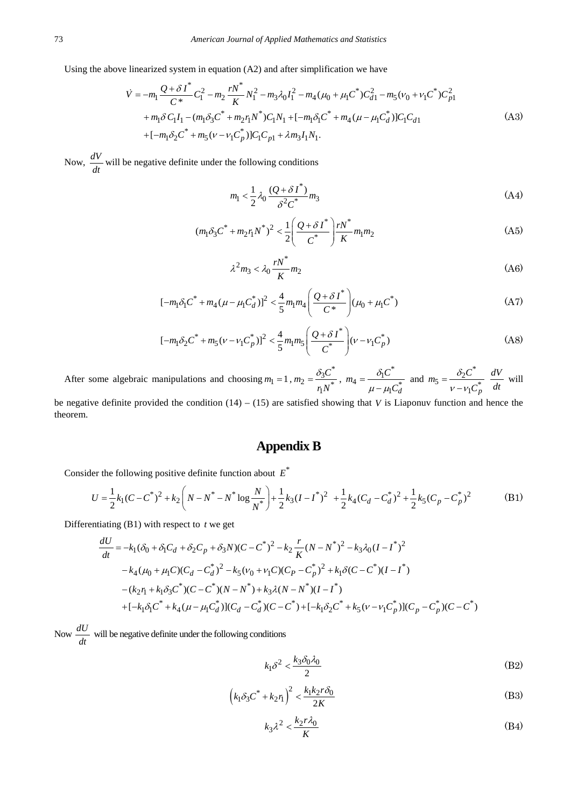Using the above linearized system in equation (A2) and after simplification we have

$$
\dot{V} = -m_1 \frac{Q + \delta I^*}{C^*} C_1^2 - m_2 \frac{rN^*}{K} N_1^2 - m_3 \lambda_0 I_1^2 - m_4 (\mu_0 + \mu_1 C^*) C_{d1}^2 - m_5 (v_0 + v_1 C^*) C_{p1}^2
$$
  
+  $m_1 \delta C_1 I_1 - (m_1 \delta_3 C^* + m_2 r_1 N^*) C_1 N_1 + [-m_1 \delta_1 C^* + m_4 (\mu - \mu_1 C_d^*)] C_1 C_{d1}$   
+  $[-m_1 \delta_2 C^* + m_5 (\nu - \nu_1 C_p^*)] C_1 C_{p1} + \lambda m_3 I_1 N_1.$  (A3)

Now,  $\frac{dV}{dt}$  will be negative definite under the following conditions

$$
m_1 < \frac{1}{2} \lambda_0 \frac{(Q + \delta I^*)}{\delta^2 C^*} m_3
$$
 (A4)

$$
(m_1 \delta_3 C^* + m_2 r_1 N^*)^2 < \frac{1}{2} \left( \frac{Q + \delta I^*}{C^*} \right) \frac{r N^*}{K} m_1 m_2
$$
 (A5)

$$
\lambda^2 m_3 < \lambda_0 \frac{r N^*}{K} m_2 \tag{A6}
$$

$$
[-m_1 \delta_1 C^* + m_4 (\mu - \mu_1 C_d^*)]^2 < \frac{4}{5} m_1 m_4 \left( \frac{Q + \delta I^*}{C^*} \right) (\mu_0 + \mu_1 C^*)
$$
 (A7)

$$
[-m_1 \delta_2 C^* + m_5 (\nu - \nu_1 C_p^*)]^2 < \frac{4}{5} m_1 m_5 \left( \frac{Q + \delta I^*}{C^*} \right) (\nu - \nu_1 C_p^*)
$$
 (A8)

After some algebraic manipulations and choosing  $m_1 = 1$ ,  $m_2 = \frac{\delta_3 C^*}{v^*}$  $m_2 = \frac{\delta_3 C^*}{r_1 N^*}, \ m_4 = \frac{\delta_1 C^*}{\mu - \mu_1 G}$  $m_4 = \frac{\delta_1 C^*}{\mu - \mu_1 C_d^*}$  and  $i_2c^*$  $m_5 = \frac{\delta_2 C^*}{v - v_1 C_p^*} \frac{dV}{dt}$  $\frac{d\mathbf{r}}{dt}$  will be negative definite provided the condition  $(14) - (15)$  are satisfied showing that *V* is Liaponuv function and hence the

# **Appendix B**

Consider the following positive definite function about  $E^*$ 

$$
U = \frac{1}{2}k_1(C - C^*)^2 + k_2\left(N - N^* - N^*\log\frac{N}{N^*}\right) + \frac{1}{2}k_3(I - I^*)^2 + \frac{1}{2}k_4(C_d - C_d^*)^2 + \frac{1}{2}k_5(C_p - C_p^*)^2
$$
(B1)

Differentiating (B1) with respect to *t* we get

$$
\frac{dU}{dt} = -k_1(\delta_0 + \delta_1 C_d + \delta_2 C_p + \delta_3 N)(C - C^*)^2 - k_2 \frac{r}{K}(N - N^*)^2 - k_3 \lambda_0 (I - I^*)^2 \n- k_4(\mu_0 + \mu_1 C)(C_d - C_d^*)^2 - k_5(v_0 + v_1 C)(C_p - C_p^*)^2 + k_1 \delta(C - C^*)(I - I^*) \n- (k_2 r_1 + k_1 \delta_3 C^*)(C - C^*)(N - N^*) + k_3 \lambda (N - N^*)(I - I^*) \n+ [-k_1 \delta_1 C^* + k_4(\mu - \mu_1 C_d^*)](C_d - C_d^*)(C - C^*) + [-k_1 \delta_2 C^* + k_5(\nu - v_1 C_p^*)](C_p - C_p^*)(C - C^*)
$$

Now  $\frac{dU}{dt}$  will be negative definite under the following conditions

$$
k_1 \delta^2 < \frac{k_3 \delta_0 \lambda_0}{2} \tag{B2}
$$

$$
\left(k_1 \delta_3 C^* + k_2 r_1\right)^2 < \frac{k_1 k_2 r \delta_0}{2K} \tag{B3}
$$

$$
k_3 \lambda^2 < \frac{k_2 r \lambda_0}{K} \tag{B4}
$$

theorem.